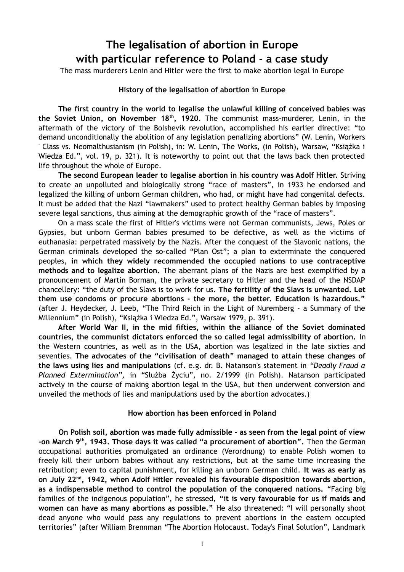## **The legalisation of abortion in Europe with particular reference to Poland - a case study**

The mass murderers Lenin and Hitler were the first to make abortion legal in Europe

## **History of the legalisation of abortion in Europe**

**The first country in the world to legalise the unlawful killing of conceived babies was the Soviet Union, on November 18th, 1920**. The communist mass-murderer, Lenin, in the aftermath of the victory of the Bolshevik revolution, accomplished his earlier directive: "to demand unconditionally the abolition of any legislation penalizing abortions" (W. Lenin, Workers ' Class vs. Neomalthusianism (in Polish), in: W. Lenin, The Works, (in Polish), Warsaw, "Książka i Wiedza Ed.", vol. 19, p. 321). It is noteworthy to point out that the laws back then protected life throughout the whole of Europe.

**The second European leader to legalise abortion in his country was Adolf Hitler.** Striving to create an unpolluted and biologically strong "race of masters", in 1933 he endorsed and legalized the killing of unborn German children, who had, or might have had congenital defects. It must be added that the Nazi "lawmakers" used to protect healthy German babies by imposing severe legal sanctions, thus aiming at the demographic growth of the "race of masters".

On a mass scale the first of Hitler's victims were not German communists, Jews, Poles or Gypsies, but unborn German babies presumed to be defective, as well as the victims of euthanasia: perpetrated massively by the Nazis. After the conquest of the Slavonic nations, the German criminals developed the so-called "Plan Ost"; a plan to exterminate the conquered peoples, **in which they widely recommended the occupied nations to use contraceptive methods and to legalize abortion.** The aberrant plans of the Nazis are best exemplified by a pronouncement of Martin Borman, the private secretary to Hitler and the head of the NSDAP chancellery: "the duty of the Slavs is to work for us. **The fertility of the Slavs is unwanted. Let them use condoms or procure abortions - the more, the better. Education is hazardous."** (after J. Heydecker, J. Leeb, "The Third Reich in the Light of Nuremberg - a Summary of the Millennium" (in Polish), "Książka i Wiedza Ed.", Warsaw 1979, p. 391).

**After World War II, in the mid fifties, within the alliance of the Soviet dominated countries, the communist dictators enforced the so called legal admissibility of abortion.** In the Western countries, as well as in the USA, abortion was legalized in the late sixties and seventies. **The advocates of the "civilisation of death" managed to attain these changes of the laws using lies and manipulations** (cf. e.g. dr. B. Natanson's statement in *"Deadly Fraud a Planned Extermination",* in "Służba Życiu", no. 2/1999 (in Polish). Natanson participated actively in the course of making abortion legal in the USA, but then underwent conversion and unveiled the methods of lies and manipulations used by the abortion advocates.)

## **How abortion has been enforced in Poland**

**On Polish soil, abortion was made fully admissible - as seen from the legal point of view -on March 9th, 1943. Those days it was called "a procurement of abortion".** Then the German occupational authorities promulgated an ordinance (Verordnung) to enable Polish women to freely kill their unborn babies without any restrictions, but at the same time increasing the retribution; even to capital punishment, for killing an unborn German child. **It was as early as on July 22nd, 1942, when Adolf Hitler revealed his favourable disposition towards abortion, as a indispensable method to control the population of the conquered nations.** "Facing big families of the indigenous population", he stressed, **"it is very favourable for us if maids and women can have as many abortions as possible."** He also threatened: "I will personally shoot dead anyone who would pass any regulations to prevent abortions in the eastern occupied territories" (after William Brennman "The Abortion Holocaust. Today's Final Solution", Landmark